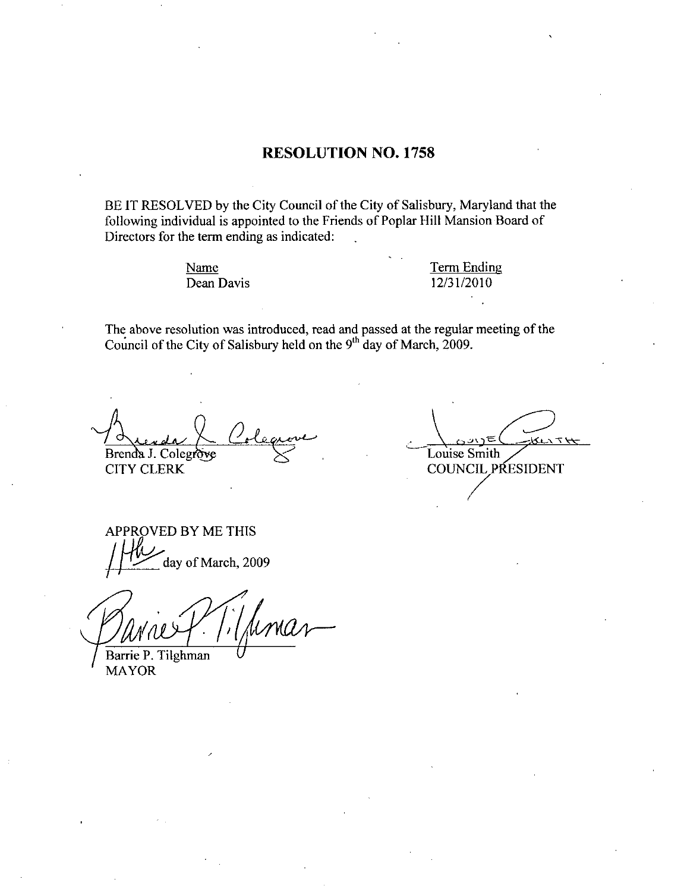### RESOLUTION NO. 1758

BE IT RESOLVED by the City Council of the City of Salisbury, Maryland that the following individual is appointed to the Friends of Poplar Hill Mansion Boazd of Directors for the term ending as indicated

> Name Dean Davis

Term Ending Term Ending<br>12/31/2010

The above resolution was introduced, read and passed at the regular meeting of the The above resolution was introduced, read and passed at the regular Council of the City of Salisbury held on the  $9<sup>th</sup>$  day of March, 2009.

<u>O</u>oleg Brenda J. Colegrove

CITY CLERK

ser <del>T</del> H Louise Smith **COUNCIL PRESIDENT** 

APPROVED BY ME THIS 1 RO<br><u>W</u> day of March, 2009

Barrie P. Tilghman

MAYOR